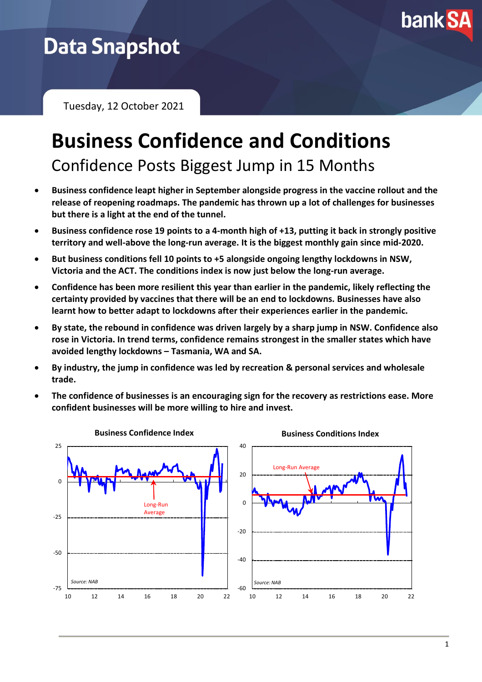

# **Data Snapshot**

Tuesday, 12 October 2021

# **Business Confidence and Conditions** Confidence Posts Biggest Jump in 15 Months

- **Business confidence leapt higher in September alongside progress in the vaccine rollout and the release of reopening roadmaps. The pandemic has thrown up a lot of challenges for businesses but there is a light at the end of the tunnel.**
- **Business confidence rose 19 points to a 4-month high of +13, putting it back in strongly positive territory and well-above the long-run average. It is the biggest monthly gain since mid-2020.**
- **But business conditions fell 10 points to +5 alongside ongoing lengthy lockdowns in NSW, Victoria and the ACT. The conditions index is now just below the long-run average.**
- **Confidence has been more resilient this year than earlier in the pandemic, likely reflecting the certainty provided by vaccines that there will be an end to lockdowns. Businesses have also learnt how to better adapt to lockdowns after their experiences earlier in the pandemic.**
- **By state, the rebound in confidence was driven largely by a sharp jump in NSW. Confidence also rose in Victoria. In trend terms, confidence remains strongest in the smaller states which have avoided lengthy lockdowns – Tasmania, WA and SA.**
- **By industry, the jump in confidence was led by recreation & personal services and wholesale trade.**
- **The confidence of businesses is an encouraging sign for the recovery as restrictions ease. More confident businesses will be more willing to hire and invest.**

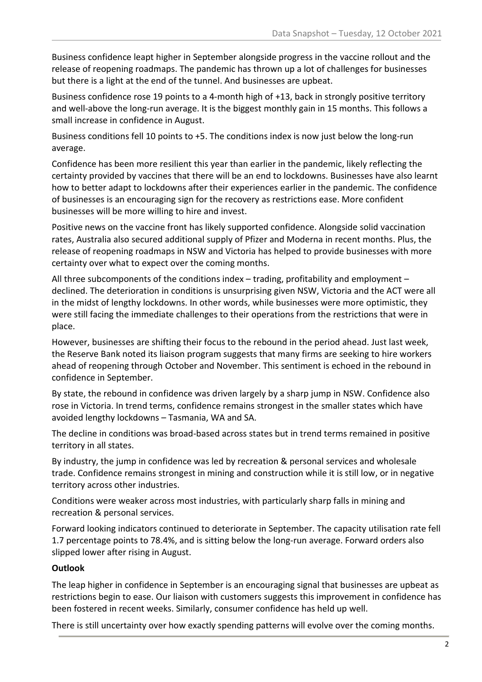Business confidence leapt higher in September alongside progress in the vaccine rollout and the release of reopening roadmaps. The pandemic has thrown up a lot of challenges for businesses but there is a light at the end of the tunnel. And businesses are upbeat.

Business confidence rose 19 points to a 4-month high of +13, back in strongly positive territory and well-above the long-run average. It is the biggest monthly gain in 15 months. This follows a small increase in confidence in August.

Business conditions fell 10 points to +5. The conditions index is now just below the long-run average.

Confidence has been more resilient this year than earlier in the pandemic, likely reflecting the certainty provided by vaccines that there will be an end to lockdowns. Businesses have also learnt how to better adapt to lockdowns after their experiences earlier in the pandemic. The confidence of businesses is an encouraging sign for the recovery as restrictions ease. More confident businesses will be more willing to hire and invest.

Positive news on the vaccine front has likely supported confidence. Alongside solid vaccination rates, Australia also secured additional supply of Pfizer and Moderna in recent months. Plus, the release of reopening roadmaps in NSW and Victoria has helped to provide businesses with more certainty over what to expect over the coming months.

All three subcomponents of the conditions index – trading, profitability and employment – declined. The deterioration in conditions is unsurprising given NSW, Victoria and the ACT were all in the midst of lengthy lockdowns. In other words, while businesses were more optimistic, they were still facing the immediate challenges to their operations from the restrictions that were in place.

However, businesses are shifting their focus to the rebound in the period ahead. Just last week, the Reserve Bank noted its liaison program suggests that many firms are seeking to hire workers ahead of reopening through October and November. This sentiment is echoed in the rebound in confidence in September.

By state, the rebound in confidence was driven largely by a sharp jump in NSW. Confidence also rose in Victoria. In trend terms, confidence remains strongest in the smaller states which have avoided lengthy lockdowns – Tasmania, WA and SA.

The decline in conditions was broad-based across states but in trend terms remained in positive territory in all states.

By industry, the jump in confidence was led by recreation & personal services and wholesale trade. Confidence remains strongest in mining and construction while it is still low, or in negative territory across other industries.

Conditions were weaker across most industries, with particularly sharp falls in mining and recreation & personal services.

Forward looking indicators continued to deteriorate in September. The capacity utilisation rate fell 1.7 percentage points to 78.4%, and is sitting below the long-run average. Forward orders also slipped lower after rising in August.

## **Outlook**

The leap higher in confidence in September is an encouraging signal that businesses are upbeat as restrictions begin to ease. Our liaison with customers suggests this improvement in confidence has been fostered in recent weeks. Similarly, consumer confidence has held up well.

There is still uncertainty over how exactly spending patterns will evolve over the coming months.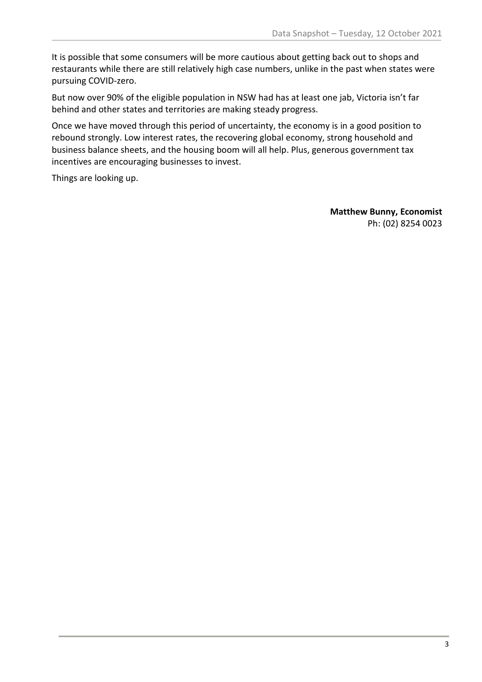It is possible that some consumers will be more cautious about getting back out to shops and restaurants while there are still relatively high case numbers, unlike in the past when states were pursuing COVID-zero.

But now over 90% of the eligible population in NSW had has at least one jab, Victoria isn't far behind and other states and territories are making steady progress.

Once we have moved through this period of uncertainty, the economy is in a good position to rebound strongly. Low interest rates, the recovering global economy, strong household and business balance sheets, and the housing boom will all help. Plus, generous government tax incentives are encouraging businesses to invest.

Things are looking up.

**Matthew Bunny, Economist** Ph: (02) 8254 0023